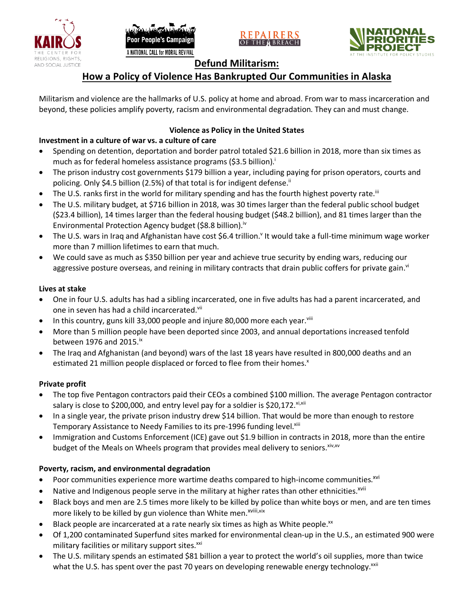







## **Defund Militarism:**

# **How a Policy of Violence Has Bankrupted Our Communities in Alaska**

Militarism and violence are the hallmarks of U.S. policy at home and abroad. From war to mass incarceration and beyond, these policies amplify poverty, racism and environmental degradation. They can and must change.

## **Violence as Policy in the United States**

#### **Investment in a culture of war vs. a culture of care**

- Spending on detention, deportation and border patrol totaled \$21.6 billion in 2018, more than six times as much as for federal homeless assistance programs (\$3.5 billion).<sup>i</sup>
- The prison industry cost governments \$179 billion a year, including paying for prison operators, courts and policing. Only \$4.5 billion (2.5%) of that total is for indigent defense.<sup>ii</sup>
- The U.S. ranks first in the world for military spending and has the fourth highest poverty rate.<sup>iii</sup>
- The U.S. military budget, at \$716 billion in 2018, was 30 times larger than the federal public school budget (\$23.4 billion), 14 times larger than the federal housing budget (\$48.2 billion), and 81 times larger than the Environmental Protection Agency budget (\$8.8 billion).<sup>iv</sup>
- The U.S. wars in Iraq and Afghanistan have cost \$6.4 trillion.<sup>v</sup> It would take a full-time minimum wage worker more than 7 million lifetimes to earn that much.
- We could save as much as \$350 billion per year and achieve true security by ending wars, reducing our aggressive posture overseas, and reining in military contracts that drain public coffers for private gain.<sup>vi</sup>

#### **Lives at stake**

- One in four U.S. adults has had a sibling incarcerated, one in five adults has had a parent incarcerated, and one in seven has had a child incarcerated.vii
- In this country, guns kill 33,000 people and injure 80,000 more each year. $v_{\text{lin}}$
- More than 5 million people have been deported since 2003, and annual deportations increased tenfold between 1976 and 2015. $\mathrm{i}$ <sup>x</sup>
- The Iraq and Afghanistan (and beyond) wars of the last 18 years have resulted in 800,000 deaths and an estimated 21 million people displaced or forced to flee from their homes.<sup>x</sup>

#### **Private profit**

- The top five Pentagon contractors paid their CEOs a combined \$100 million. The average Pentagon contractor salary is close to \$200,000, and entry level pay for a soldier is \$20,172. xi,xii
- In a single year, the private prison industry drew \$14 billion. That would be more than enough to restore Temporary Assistance to Needy Families to its pre-1996 funding level.<sup>xiii</sup>
- Immigration and Customs Enforcement (ICE) gave out \$1.9 billion in contracts in 2018, more than the entire budget of the Meals on Wheels program that provides meal delivery to seniors. Xiv, XV

## **Poverty, racism, and environmental degradation**

- Poor communities experience more wartime deaths compared to high-income communities.<sup>xvi</sup>
- Native and Indigenous people serve in the military at higher rates than other ethnicities.<sup>xvii</sup>
- Black boys and men are 2.5 times more likely to be killed by police than white boys or men, and are ten times more likely to be killed by gun violence than White men.<sup>xviii,xix</sup>
- Black people are incarcerated at a rate nearly six times as high as White people.<sup>xx</sup>
- Of 1,200 contaminated Superfund sites marked for environmental clean-up in the U.S., an estimated 900 were military facilities or military support sites.<sup>xxi</sup>
- The U.S. military spends an estimated \$81 billion a year to protect the world's oil supplies, more than twice what the U.S. has spent over the past 70 years on developing renewable energy technology.<sup>xxii</sup>